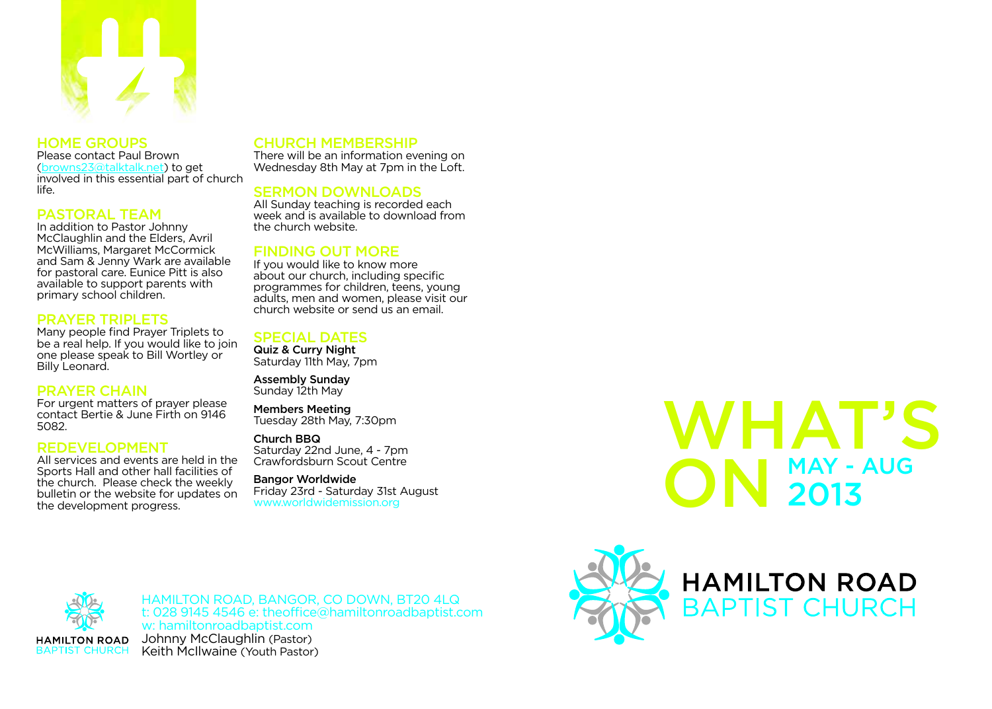

# HOME GROUPS

Please contact Paul Brown (browns23@talktalk.net) to get involved in this essential part of church life.

# PASTORAL TEAM

In addition to Pastor Johnny McClaughlin and the Elders, Avril McWilliams, Margaret McCormick and Sam & Jenny Wark are available for pastoral care. Eunice Pitt is also available to support parents with primary school children.

## PRAYER TRIPLETS

Many people find Prayer Triplets to be a real help. If you would like to join one please speak to Bill Wortley or Billy Leonard.

# PRAYER CHAIN

For urgent matters of prayer please contact Bertie & June Firth on 9146 5082.

#### REDEVELOPMENT

All services and events are held in the Sports Hall and other hall facilities of the church. Please check the weekly bulletin or the website for updates on the development progress.

# CHURCH MEMBERSHIP

There will be an information evening on Wednesday 8th May at 7pm in the Loft.

### SERMON DOWNLOADS

All Sunday teaching is recorded each week and is available to download from the church website.

# FINDING OUT MORE

If you would like to know more about our church, including specific programmes for children, teens, young adults, men and women, please visit our church website or send us an email.

#### SPECIAL DATES

Quiz & Curry Night Saturday 11th May, 7pm

Assembly Sunday Sunday 12th May

Members Meeting Tuesday 28th May, 7:30pm

#### Church BBQ

Saturday 22nd June, 4 - 7pm Crawfordsburn Scout Centre

#### Bangor Worldwide

Friday 23rd - Saturday 31st August www.worldwidemission.org

# WHAT'S ON 2013 2013



HAMILTON ROAD, BANGOR, CO DOWN, BT20 4LQ t: 028 9145 4546 e: theofice@hamiltonroadbaptist.com w: hamiltonroadbaptist.com Johnny McClaughlin (Pastor) Keith McIlwaine (Youth Pastor)